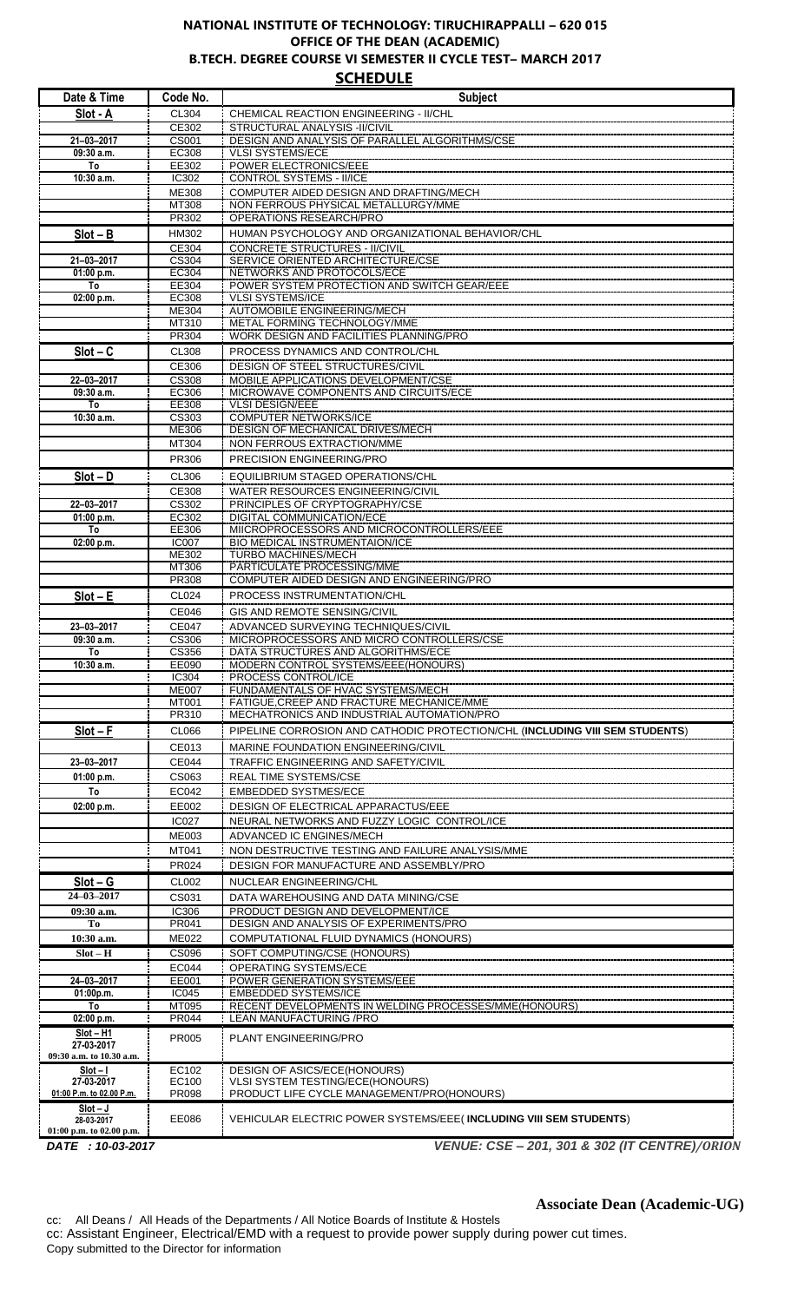## **NATIONAL INSTITUTE OF TECHNOLOGY: TIRUCHIRAPPALLI – 620 015 OFFICE OF THE DEAN (ACADEMIC) B.TECH. DEGREE COURSE VI SEMESTER II CYCLE TEST– MARCH 2017 SCHEDULE**

**Date & Time Code No.**<br> **Subject**<br> **Slot - A** : CL304 : CHEMICAL REACTION ENGINEERING - II/CHL **CL304 CHEMICAL REACTION ENGINEERING - II/CHL<br>CE302 STRUCTURAL ANALYSIS -II/CIVIL** CE302 STRUCTURAL ANALYSIS -II/CIVIL **21–03–2017** CS001 DESIGN AND ANALYSIS OF PARALLEL ALGORITHMS/CSE **09:30 a.m.** EC308 VLSI SYSTEMS/ECE **To** EE302 POWER ELECTRONICS/EEE

| 10:30 a.m.                                               | IC302                 | <b>CONTROL SYSTEMS - II/ICE</b>                                                     |
|----------------------------------------------------------|-----------------------|-------------------------------------------------------------------------------------|
|                                                          | <b>ME308</b>          | COMPUTER AIDED DESIGN AND DRAFTING/MECH                                             |
|                                                          | MT308                 | NON FERROUS PHYSICAL METALLURGY/MME                                                 |
|                                                          | PR302                 | <b>OPERATIONS RESEARCH/PRO</b>                                                      |
| $Slot - B$                                               | HM302                 | HUMAN PSYCHOLOGY AND ORGANIZATIONAL BEHAVIOR/CHL                                    |
|                                                          | CE304                 | <b>CONCRETE STRUCTURES - II/CIVIL</b>                                               |
| 21-03-2017                                               | CS304                 | <b>SERVICE ORIENTED ARCHITECTURE/CSE</b>                                            |
| 01:00 p.m.                                               | EC304                 | NETWORKS AND PROTOCOLS/ECE                                                          |
| To                                                       | EE304                 | POWER SYSTEM PROTECTION AND SWITCH GEAR/EEE                                         |
| 02:00 p.m.                                               | EC308                 | <b>VLSI SYSTEMS/ICE</b><br><b>AUTOMOBILE ENGINEERING/MECH</b>                       |
|                                                          | ME304<br>MT310        | METAL FORMING TECHNOLOGY/MME                                                        |
|                                                          | PR304                 | <b>WORK DESIGN AND FACILITIES PLANNING/PRO</b>                                      |
|                                                          |                       |                                                                                     |
| $Slot - C$                                               | <b>CL308</b>          | PROCESS DYNAMICS AND CONTROL/CHL                                                    |
|                                                          | CE306                 | DESIGN OF STEEL STRUCTURES/CIVIL                                                    |
| 22-03-2017                                               | <b>CS308</b>          | <b>MOBILE APPLICATIONS DEVELOPMENT/CSE</b><br>MICROWAVE COMPONENTS AND CIRCUITS/ECE |
| 09:30 a.m.<br>To                                         | EC306<br>EE308        | <b>VLSI DESIGN/EEE</b>                                                              |
| 10:30 a.m.                                               | CS303                 | <b>COMPUTER NETWORKS/ICE</b>                                                        |
|                                                          | ME306                 | <b>DESIGN OF MECHANICAL DRIVES/MECH</b>                                             |
|                                                          | MT304                 | NON FERROUS EXTRACTION/MME                                                          |
|                                                          | PR306                 | PRECISION ENGINEERING/PRO                                                           |
|                                                          |                       |                                                                                     |
| $Slot - D$                                               | CL306                 | EQUILIBRIUM STAGED OPERATIONS/CHL                                                   |
|                                                          | CE308                 | WATER RESOURCES ENGINEERING/CIVIL                                                   |
| 22-03-2017                                               | CS302<br>EC302        | PRINCIPLES OF CRYPTOGRAPHY/CSE                                                      |
| 01:00 p.m.<br>To                                         | EE306                 | DIGITAL COMMUNICATION/ECE<br>MIICROPROCESSORS AND MICROCONTROLLERS/EEE              |
| $02:00$ p.m.                                             | <b>IC007</b>          | BIO MEDICAL INSTRUMENTAION/ICE                                                      |
|                                                          | <b>ME302</b>          | <b>TURBO MACHINES/MECH</b>                                                          |
|                                                          | MT306                 | PARTICULATE PROCESSING/MME                                                          |
|                                                          | PR308                 | COMPUTER AIDED DESIGN AND ENGINEERING/PRO                                           |
| $Slot - E$                                               | <b>CL024</b>          | PROCESS INSTRUMENTATION/CHL                                                         |
|                                                          | CE046                 | GIS AND REMOTE SENSING/CIVIL                                                        |
|                                                          |                       |                                                                                     |
| 23-03-2017<br>09:30 a.m.                                 | <b>CE047</b><br>CS306 | ADVANCED SURVEYING TECHNIQUES/CIVIL<br>MICROPROCESSORS AND MICRO CONTROLLERS/CSE    |
| To                                                       | CS356                 | DATA STRUCTURES AND ALGORITHMS/ECE                                                  |
| $10:30$ a.m.                                             | EE090                 | MODERN CONTROL SYSTEMS/EEE(HONOURS)                                                 |
|                                                          | IC304                 | PROCESS CONTROL/ICE                                                                 |
|                                                          | <b>ME007</b>          | FUNDAMENTALS OF HVAC SYSTEMS/MECH                                                   |
|                                                          | MT001                 | FATIGUE, CREEP AND FRACTURE MECHANICE/MME                                           |
|                                                          | PR310                 | MECHATRONICS AND INDUSTRIAL AUTOMATION/PRO                                          |
| $Slot - F$                                               | CL066                 | PIPELINE CORROSION AND CATHODIC PROTECTION/CHL (INCLUDING VIII SEM STUDENTS)        |
|                                                          | CE013                 | <b>MARINE FOUNDATION ENGINEERING/CIVIL</b>                                          |
| 23-03-2017                                               | <b>CE044</b>          | TRAFFIC ENGINEERING AND SAFETY/CIVIL                                                |
| 01:00 p.m.                                               | CS063                 | REAL TIME SYSTEMS/CSE                                                               |
| To                                                       | EC042                 | <b>EMBEDDED SYSTMES/ECE</b>                                                         |
|                                                          | EE002                 | DESIGN OF ELECTRICAL APPARACTUS/EEE                                                 |
| 02:00 p.m.                                               |                       |                                                                                     |
|                                                          | <b>IC027</b>          | NEURAL NETWORKS AND FUZZY LOGIC CONTROL/ICE                                         |
|                                                          | <b>ME003</b>          | ADVANCED IC ENGINES/MECH                                                            |
|                                                          | MT041                 | NON DESTRUCTIVE TESTING AND FAILURE ANALYSIS/MME                                    |
|                                                          | PR024                 | DESIGN FOR MANUFACTURE AND ASSEMBLY/PRO                                             |
| $Slot - G$                                               | CL002                 | NUCLEAR ENGINEERING/CHL                                                             |
| $24 - 03 - 2017$                                         | CS031                 | DATA WAREHOUSING AND DATA MINING/CSE                                                |
| 09:30 a.m.                                               | <b>IC306</b>          | PRODUCT DESIGN AND DEVELOPMENT/ICE                                                  |
| Tо                                                       | PR041                 | DESIGN AND ANALYSIS OF EXPERIMENTS/PRO                                              |
| 10:30 a.m.                                               | <b>ME022</b>          | COMPUTATIONAL FLUID DYNAMICS (HONOURS)                                              |
| $Slot - H$                                               | CS096                 | SOFT COMPUTING/CSE (HONOURS)                                                        |
|                                                          | EC044                 | OPERATING SYSTEMS/ECE                                                               |
| 24-03-2017                                               | EE001                 | POWER GENERATION SYSTEMS/EEE                                                        |
| 01:00p.m.                                                | <b>IC045</b>          | <b>EMBEDDED SYSTEMS/ICE</b>                                                         |
| To                                                       | MT095                 | RECENT DEVELOPMENTS IN WELDING PROCESSES/MME(HONOURS)                               |
| 02:00 p.m.                                               | PR044                 | LEAN MANUFACTURING / PRO                                                            |
| $Slot - H1$<br>27-03-2017<br>09:30 a.m. to 10.30 a.m.    | PR005                 | PLANT ENGINEERING/PRO                                                               |
| $Slot - I$                                               | EC102                 | DESIGN OF ASICS/ECE(HONOURS)                                                        |
| 27-03-2017                                               | EC100                 | VLSI SYSTEM TESTING/ECE(HONOURS)                                                    |
| 01:00 P.m. to 02.00 P.m.                                 | PR098                 | PRODUCT LIFE CYCLE MANAGEMENT/PRO(HONOURS)                                          |
| $Slot - J$<br>28-03-2017<br>$01:00$ p.m. to $02.00$ p.m. | EE086                 | VEHICULAR ELECTRIC POWER SYSTEMS/EEE (INCLUDING VIII SEM STUDENTS)                  |
|                                                          |                       |                                                                                     |

*DATE : 10-03-2017 VENUE: CSE – 201, 301 & 302 (IT CENTRE)/ORION*